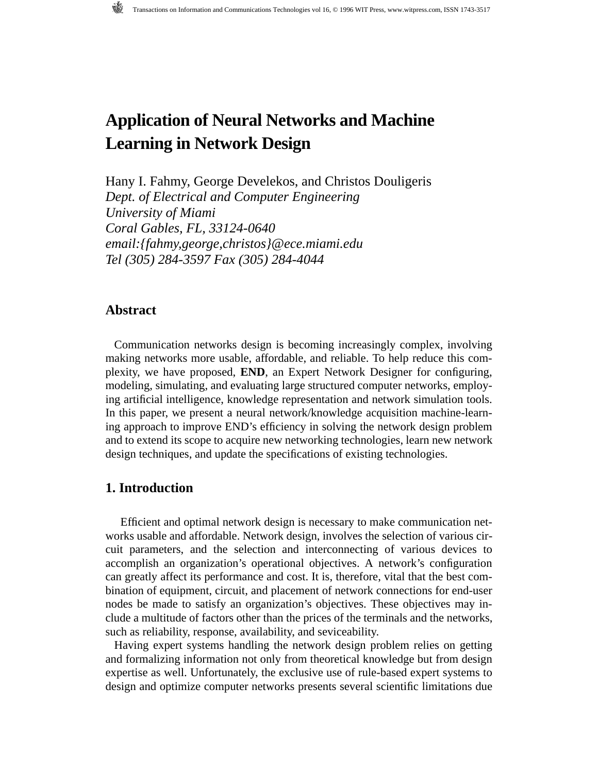# **[Application of Neural Networks and Machine](#page--1-0)  Learning in Network Design**

[Hany I. Fahmy, George Develekos,](#page--1-0) and [Christos Douligeris](#page--1-0) *Dept. of Electrical and Computer Engineering University of Miami Coral Gables, FL, 33124-0640 email:{fahmy,george,christos}@ece.miami.edu Tel (305) 284-3597 Fax (305) 284-4044*

### **Abstract**

Communication networks design is becoming increasingly complex, involving making networks more usable, affordable, and reliable. To help reduce this complexity, we have proposed, **END**, an Expert Network Designer for configuring, modeling, simulating, and evaluating large structured computer networks, employing artificial intelligence, knowledge representation and network simulation tools. In this paper, we present a neural network/knowledge acquisition machine-learning approach to improve END's efficiency in solving the network design problem and to extend its scope to acquire new networking technologies, learn new network design techniques, and update the specifications of existing technologies.

### **1. Introduction**

Efficient and optimal network design is necessary to make communication networks usable and affordable. Network design, involves the selection of various circuit parameters, and the selection and interconnecting of various devices to accomplish an organization's operational objectives. A network's configuration can greatly affect its performance and cost. It is, therefore, vital that the best combination of equipment, circuit, and placement of network connections for end-user nodes be made to satisfy an organization's objectives. These objectives may include a multitude of factors other than the prices of the terminals and the networks, such as reliability, response, availability, and seviceability.

Having expert systems handling the network design problem relies on getting and formalizing information not only from theoretical knowledge but from design expertise as well. Unfortunately, the exclusive use of rule-based expert systems to design and optimize computer networks presents several scientific limitations due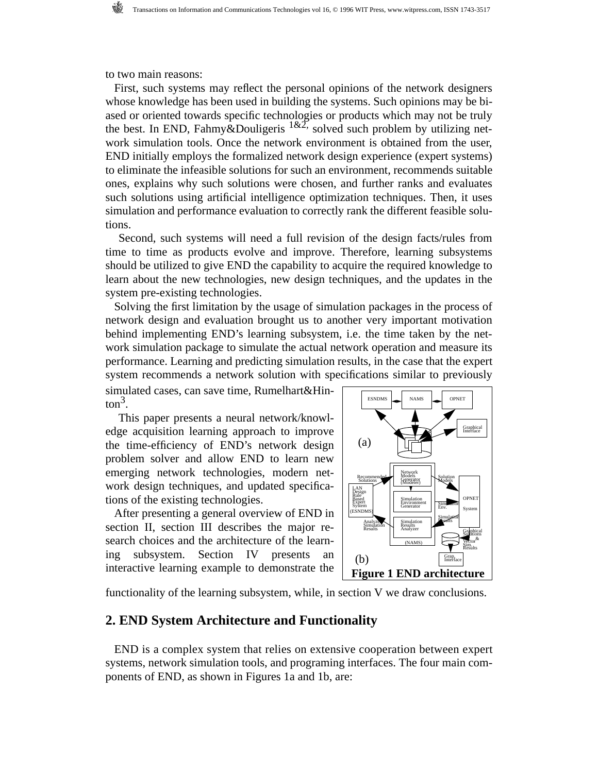to two main reasons:

First, such systems may reflect the personal opinions of the network designers whose knowledge has been used in building the systems. Such opinions may be biased or oriented towards specific technologies or products which may not be truly the best. In END, Fahmy&Douligeris  $1\&2$ , solved such problem by utilizing network simulation tools. Once the network environment is obtained from the user, END initially employs the formalized network design experience (expert systems) to eliminate the infeasible solutions for such an environment, recommends suitable ones, explains why such solutions were chosen, and further ranks and evaluates such solutions using artificial intelligence optimization techniques. Then, it uses simulation and performance evaluation to correctly rank the different feasible solutions.

 Second, such systems will need a full revision of the design facts/rules from time to time as products evolve and improve. Therefore, learning subsystems should be utilized to give END the capability to acquire the required knowledge to learn about the new technologies, new design techniques, and the updates in the system pre-existing technologies.

Solving the first limitation by the usage of simulation packages in the process of network design and evaluation brought us to another very important motivation behind implementing END's learning subsystem, i.e. the time taken by the network simulation package to simulate the actual network operation and measure its performance. Learning and predicting simulation results, in the case that the expert system recommends a network solution with specifications similar to previously

simulated cases, can save time, Rumelhart&Hin- $\[\text{ton}^3\]$ .

 This paper presents a neural network/knowledge acquisition learning approach to improve the time-efficiency of END's network design problem solver and allow END to learn new emerging network technologies, modern network design techniques, and updated specifications of the existing technologies.

After presenting a general overview of END in section II, section III describes the major research choices and the architecture of the learning subsystem. Section IV presents an interactive learning example to demonstrate the



functionality of the learning subsystem, while, in section V we draw conclusions.

#### **2. END System Architecture and Functionality**

END is a complex system that relies on extensive cooperation between expert systems, network simulation tools, and programing interfaces. The four main components of END, as shown in Figures 1a and 1b, are: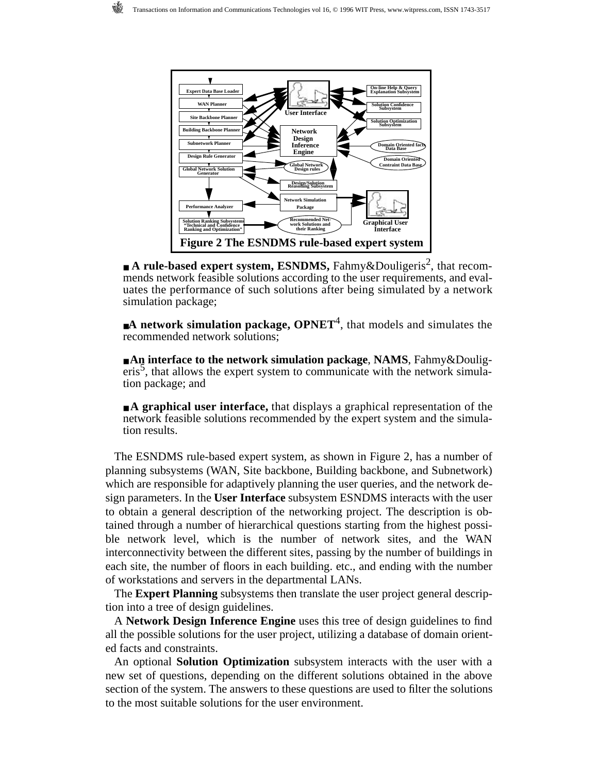

■ **A rule-based expert system, ESNDMS,** Fahmy&Douligeris<sup>2</sup>, that recommends network feasible solutions according to the user requirements, and evaluates the performance of such solutions after being simulated by a network simulation package;

■**A network simulation package, OPNET<sup>4</sup>, that models and simulates the** recommended network solutions;

■ **An interface to the network simulation package**, **NAMS**, Fahmy&Douligeris<sup>5</sup>, that allows the expert system to communicate with the network simulation package; and

■ **A graphical user interface,** that displays a graphical representation of the network feasible solutions recommended by the expert system and the simulation results.

The ESNDMS rule-based expert system, as shown in Figure 2, has a number of planning subsystems (WAN, Site backbone, Building backbone, and Subnetwork) which are responsible for adaptively planning the user queries, and the network design parameters. In the **User Interface** subsystem ESNDMS interacts with the user to obtain a general description of the networking project. The description is obtained through a number of hierarchical questions starting from the highest possible network level, which is the number of network sites, and the WAN interconnectivity between the different sites, passing by the number of buildings in each site, the number of floors in each building. etc., and ending with the number of workstations and servers in the departmental LANs.

The **Expert Planning** subsystems then translate the user project general description into a tree of design guidelines.

A **Network Design Inference Engine** uses this tree of design guidelines to find all the possible solutions for the user project, utilizing a database of domain oriented facts and constraints.

An optional **Solution Optimization** subsystem interacts with the user with a new set of questions, depending on the different solutions obtained in the above section of the system. The answers to these questions are used to filter the solutions to the most suitable solutions for the user environment.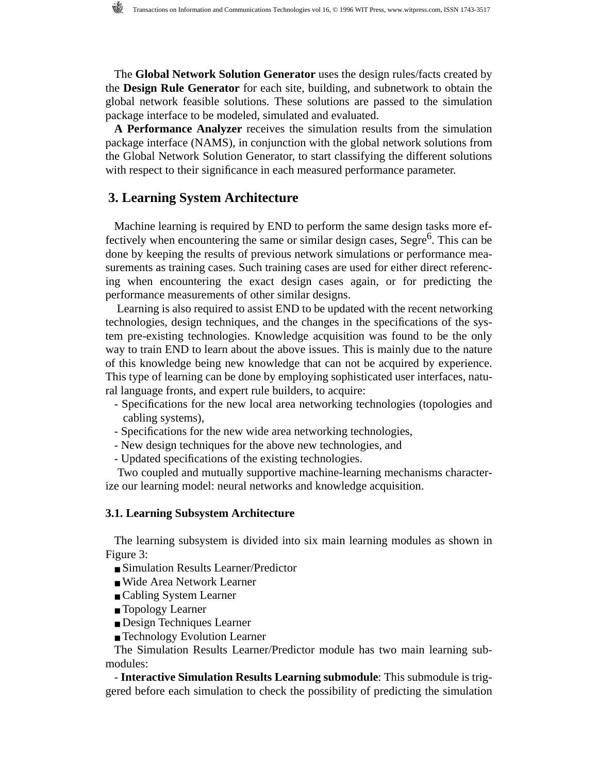The **Global Network Solution Generator** uses the design rules/facts created by the **Design Rule Generator** for each site, building, and subnetwork to obtain the global network feasible solutions. These solutions are passed to the simulation package interface to be modeled, simulated and evaluated.

**A Performance Analyzer** receives the simulation results from the simulation package interface (NAMS), in conjunction with the global network solutions from the Global Network Solution Generator, to start classifying the different solutions with respect to their significance in each measured performance parameter.

## **3. Learning System Architecture**

Machine learning is required by END to perform the same design tasks more effectively when encountering the same or similar design cases, Segre<sup>6</sup>. This can be done by keeping the results of previous network simulations or performance measurements as training cases. Such training cases are used for either direct referencing when encountering the exact design cases again, or for predicting the performance measurements of other similar designs.

 Learning is also required to assist END to be updated with the recent networking technologies, design techniques, and the changes in the specifications of the system pre-existing technologies. Knowledge acquisition was found to be the only way to train END to learn about the above issues. This is mainly due to the nature of this knowledge being new knowledge that can not be acquired by experience. This type of learning can be done by employing sophisticated user interfaces, natural language fronts, and expert rule builders, to acquire:

- Specifications for the new local area networking technologies (topologies and cabling systems),
- Specifications for the new wide area networking technologies,
- New design techniques for the above new technologies, and
- Updated specifications of the existing technologies.

 Two coupled and mutually supportive machine-learning mechanisms characterize our learning model: neural networks and knowledge acquisition.

#### **3.1. Learning Subsystem Architecture**

The learning subsystem is divided into six main learning modules as shown in Figure 3:

- Simulation Results Learner/Predictor
- Wide Area Network Learner
- Cabling System Learner
- Topology Learner
- Design Techniques Learner
- Technology Evolution Learner

The Simulation Results Learner/Predictor module has two main learning submodules:

- **Interactive Simulation Results Learning submodule**: This submodule is triggered before each simulation to check the possibility of predicting the simulation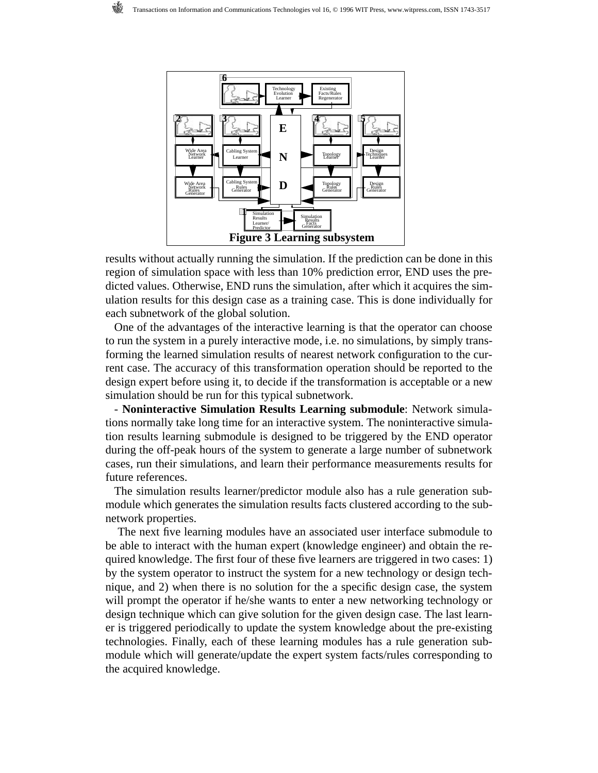

results without actually running the simulation. If the prediction can be done in this region of simulation space with less than 10% prediction error, END uses the predicted values. Otherwise, END runs the simulation, after which it acquires the simulation results for this design case as a training case. This is done individually for each subnetwork of the global solution.

One of the advantages of the interactive learning is that the operator can choose to run the system in a purely interactive mode, i.e. no simulations, by simply transforming the learned simulation results of nearest network configuration to the current case. The accuracy of this transformation operation should be reported to the design expert before using it, to decide if the transformation is acceptable or a new simulation should be run for this typical subnetwork.

- **Noninteractive Simulation Results Learning submodule**: Network simulations normally take long time for an interactive system. The noninteractive simulation results learning submodule is designed to be triggered by the END operator during the off-peak hours of the system to generate a large number of subnetwork cases, run their simulations, and learn their performance measurements results for future references.

The simulation results learner/predictor module also has a rule generation submodule which generates the simulation results facts clustered according to the subnetwork properties.

 The next five learning modules have an associated user interface submodule to be able to interact with the human expert (knowledge engineer) and obtain the required knowledge. The first four of these five learners are triggered in two cases: 1) by the system operator to instruct the system for a new technology or design technique, and 2) when there is no solution for the a specific design case, the system will prompt the operator if he/she wants to enter a new networking technology or design technique which can give solution for the given design case. The last learner is triggered periodically to update the system knowledge about the pre-existing technologies. Finally, each of these learning modules has a rule generation submodule which will generate/update the expert system facts/rules corresponding to the acquired knowledge.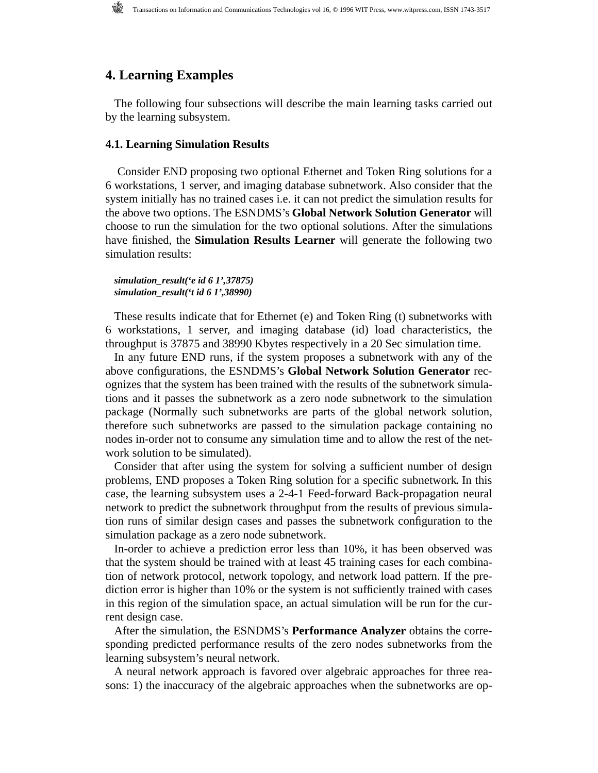## **4. Learning Examples**

The following four subsections will describe the main learning tasks carried out by the learning subsystem.

#### **4.1. Learning Simulation Results**

 Consider END proposing two optional Ethernet and Token Ring solutions for a 6 workstations, 1 server, and imaging database subnetwork. Also consider that the system initially has no trained cases i.e. it can not predict the simulation results for the above two options. The ESNDMS's **Global Network Solution Generator** will choose to run the simulation for the two optional solutions. After the simulations have finished, the **Simulation Results Learner** will generate the following two simulation results:

*simulation\_result('e id 6 1',37875) simulation\_result('t id 6 1',38990)*

These results indicate that for Ethernet (e) and Token Ring (t) subnetworks with 6 workstations, 1 server, and imaging database (id) load characteristics, the throughput is 37875 and 38990 Kbytes respectively in a 20 Sec simulation time.

In any future END runs, if the system proposes a subnetwork with any of the above configurations, the ESNDMS's **Global Network Solution Generator** recognizes that the system has been trained with the results of the subnetwork simulations and it passes the subnetwork as a zero node subnetwork to the simulation package (Normally such subnetworks are parts of the global network solution, therefore such subnetworks are passed to the simulation package containing no nodes in-order not to consume any simulation time and to allow the rest of the network solution to be simulated).

Consider that after using the system for solving a sufficient number of design problems, END proposes a Token Ring solution for a specific subnetwork*.* In this case, the learning subsystem uses a 2-4-1 Feed-forward Back-propagation neural network to predict the subnetwork throughput from the results of previous simulation runs of similar design cases and passes the subnetwork configuration to the simulation package as a zero node subnetwork.

In-order to achieve a prediction error less than 10%, it has been observed was that the system should be trained with at least 45 training cases for each combination of network protocol, network topology, and network load pattern. If the prediction error is higher than 10% or the system is not sufficiently trained with cases in this region of the simulation space, an actual simulation will be run for the current design case.

After the simulation, the ESNDMS's **Performance Analyzer** obtains the corresponding predicted performance results of the zero nodes subnetworks from the learning subsystem's neural network.

A neural network approach is favored over algebraic approaches for three reasons: 1) the inaccuracy of the algebraic approaches when the subnetworks are op-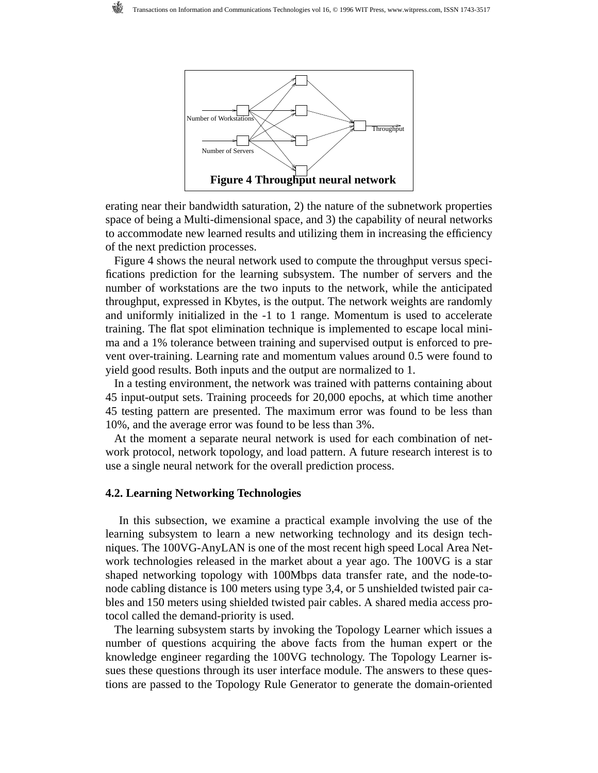

erating near their bandwidth saturation, 2) the nature of the subnetwork properties space of being a Multi-dimensional space, and 3) the capability of neural networks to accommodate new learned results and utilizing them in increasing the efficiency of the next prediction processes.

Figure 4 shows the neural network used to compute the throughput versus specifications prediction for the learning subsystem. The number of servers and the number of workstations are the two inputs to the network, while the anticipated throughput, expressed in Kbytes, is the output. The network weights are randomly and uniformly initialized in the -1 to 1 range. Momentum is used to accelerate training. The flat spot elimination technique is implemented to escape local minima and a 1% tolerance between training and supervised output is enforced to prevent over-training. Learning rate and momentum values around 0.5 were found to yield good results. Both inputs and the output are normalized to 1.

In a testing environment, the network was trained with patterns containing about 45 input-output sets. Training proceeds for 20,000 epochs, at which time another 45 testing pattern are presented. The maximum error was found to be less than 10%, and the average error was found to be less than 3%.

At the moment a separate neural network is used for each combination of network protocol, network topology, and load pattern. A future research interest is to use a single neural network for the overall prediction process.

#### **4.2. Learning Networking Technologies**

 In this subsection, we examine a practical example involving the use of the learning subsystem to learn a new networking technology and its design techniques. The 100VG-AnyLAN is one of the most recent high speed Local Area Network technologies released in the market about a year ago. The 100VG is a star shaped networking topology with 100Mbps data transfer rate, and the node-tonode cabling distance is 100 meters using type 3,4, or 5 unshielded twisted pair cables and 150 meters using shielded twisted pair cables. A shared media access protocol called the demand-priority is used.

The learning subsystem starts by invoking the Topology Learner which issues a number of questions acquiring the above facts from the human expert or the knowledge engineer regarding the 100VG technology. The Topology Learner issues these questions through its user interface module. The answers to these questions are passed to the Topology Rule Generator to generate the domain-oriented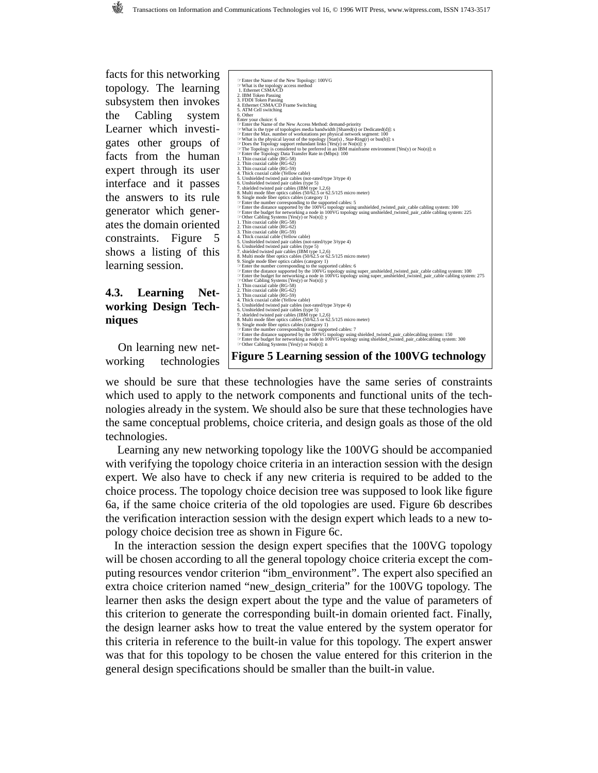facts for this networking topology. The learning subsystem then invokes the Cabling system Learner which investigates other groups of facts from the human expert through its user interface and it passes the answers to its rule generator which generates the domain oriented constraints. Figure 5 shows a listing of this learning session.

## **4.3. Learning Networking Design Techniques**

 On learning new networking technologies

☞Enter the Name of the New Topology: 100VG ☞What is the topology access method 1. Ethernet CSMA/CD 2. IBM Token Passing 3. FDDI Token Passing 4. Ethernet CSMA/CD Frame Switching 5. ATM Cell switching 6. Other<br>
follow the property of the New Access Method: demand-priority<br>  $\textcircled{=}$  Enter two Name of the New Access Method: demand-priority<br>  $\textcircled{=}$  Mata is the type of topologies media bandwidth [Shared(s) or Dedicated 2. Thin coaxial cable (RG-62) 3. Thin coaxial cable (RG-59)<br>4. Thin coaxial cable (Yellow cable)<br>5. Unshitelded twisted pair cables (not-rated/type 3/type 4)<br>6. Unshitelded twisted pair cables (IBM type 1,2,6)<br>7. shielded twisted pair cables (SIM type <sup>≔</sup>Enier the number corresponding to the supported cables: for the supported curist of matter the distance supported by the 100VG topology using super\_unshielded\_twisted\_pair\_cable cabling system: 100<br>
⇒ Dater the budge  **Figure 5 Learning session of the 100VG technology**

we should be sure that these technologies have the same series of constraints which used to apply to the network components and functional units of the technologies already in the system. We should also be sure that these technologies have the same conceptual problems, choice criteria, and design goals as those of the old technologies.

 Learning any new networking topology like the 100VG should be accompanied with verifying the topology choice criteria in an interaction session with the design expert. We also have to check if any new criteria is required to be added to the choice process. The topology choice decision tree was supposed to look like figure 6a, if the same choice criteria of the old topologies are used. Figure 6b describes the verification interaction session with the design expert which leads to a new topology choice decision tree as shown in Figure 6c.

In the interaction session the design expert specifies that the 100VG topology will be chosen according to all the general topology choice criteria except the computing resources vendor criterion "ibm\_environment". The expert also specified an extra choice criterion named "new\_design\_criteria" for the 100VG topology. The learner then asks the design expert about the type and the value of parameters of this criterion to generate the corresponding built-in domain oriented fact. Finally, the design learner asks how to treat the value entered by the system operator for this criteria in reference to the built-in value for this topology. The expert answer was that for this topology to be chosen the value entered for this criterion in the general design specifications should be smaller than the built-in value.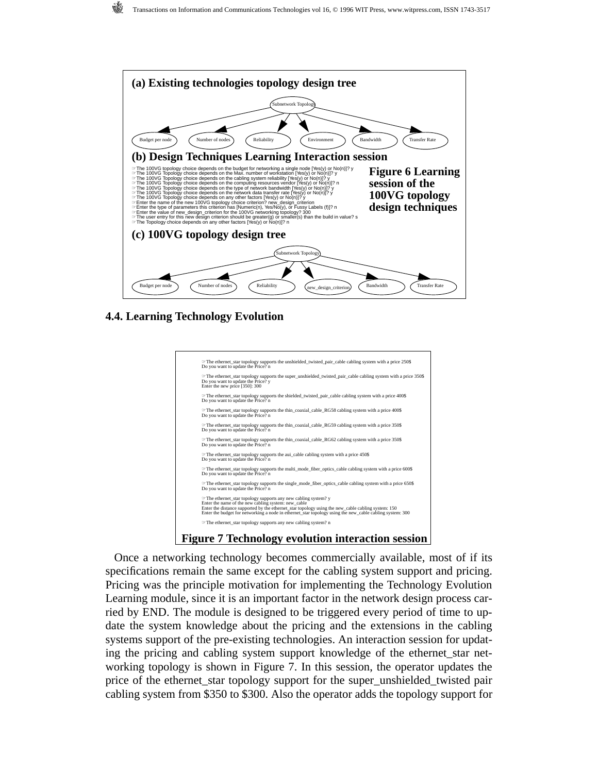



**4.4. Learning Technology Evolution**



Once a networking technology becomes commercially available, most of if its specifications remain the same except for the cabling system support and pricing. Pricing was the principle motivation for implementing the Technology Evolution Learning module, since it is an important factor in the network design process carried by END. The module is designed to be triggered every period of time to update the system knowledge about the pricing and the extensions in the cabling systems support of the pre-existing technologies. An interaction session for updating the pricing and cabling system support knowledge of the ethernet\_star networking topology is shown in Figure 7. In this session, the operator updates the price of the ethernet\_star topology support for the super\_unshielded\_twisted pair cabling system from \$350 to \$300. Also the operator adds the topology support for